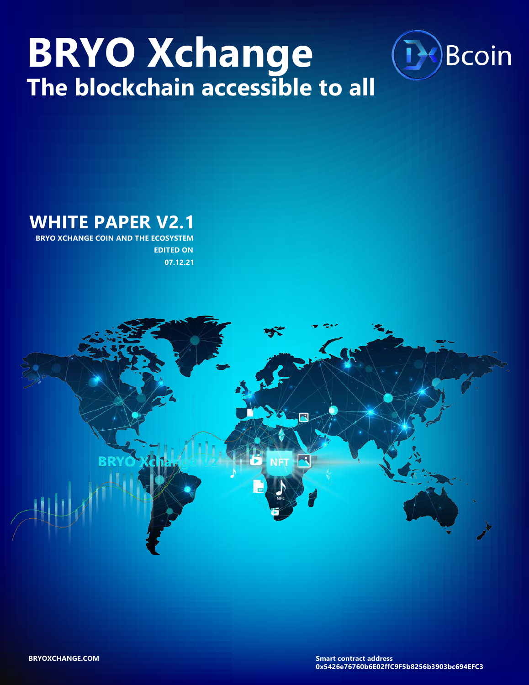# **BRYO Xchange The blockchain accessible to all**



**WHITE PAPER V2.1 BRYO XCHANGE COIN AND THE ECOSYSTEM**

 **EDITED ON 07.12.21**

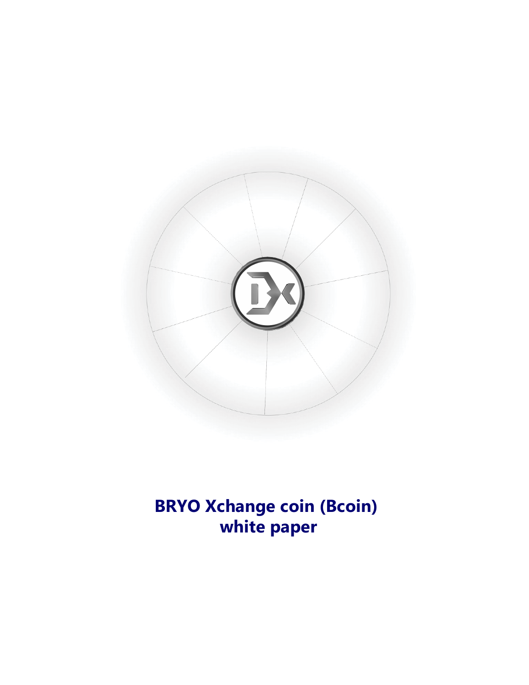

# **BRYO Xchange coin (Bcoin) white paper**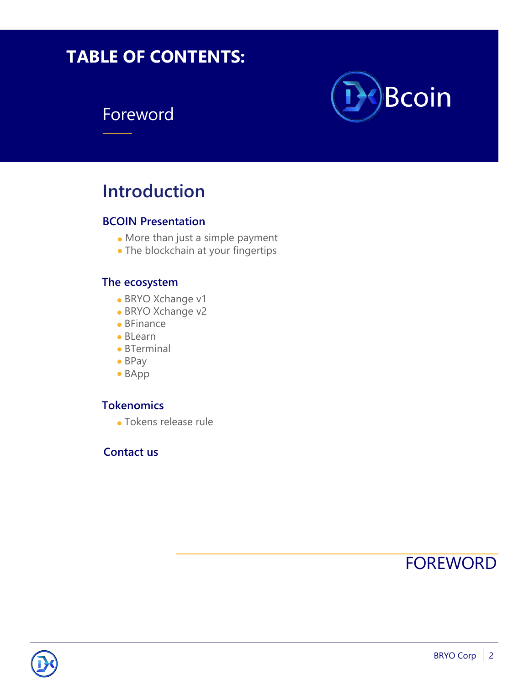# **TABLE OF CONTENTS:**

### Foreword



### **Introduction**

#### **BCOIN Presentation**

- More than just a simple payment
- The blockchain at your fingertips

#### **The ecosystem**

- BRYO Xchange v1
- BRYO Xchange v2
- BFinance
- BLearn
- BTerminal
- BPay
- BApp

#### **Tokenomics**

Tokens release rule

#### **Contact us**



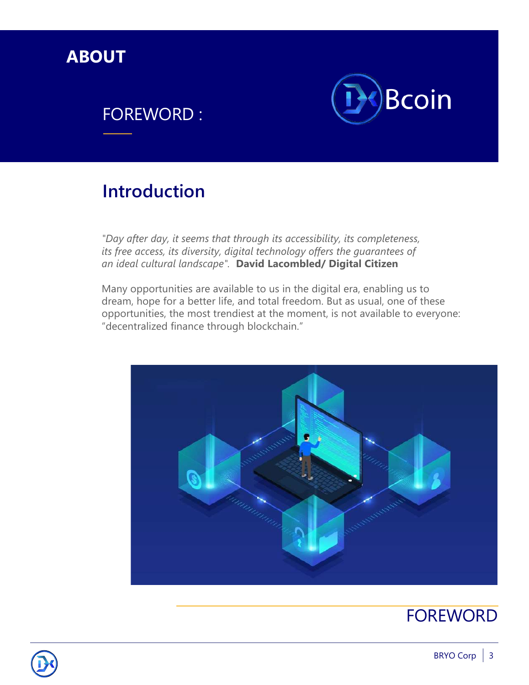

## FOREWORD :



## **Introduction**

*"Day after day, it seems that through its accessibility, its completeness, its free access, its diversity, digital technology offers the guarantees of an ideal cultural landscape".* **David Lacombled/ Digital Citizen**

Many opportunities are available to us in the digital era, enabling us to dream, hope for a better life, and total freedom. But as usual, one of these opportunities, the most trendiest at the moment, is not available to everyone: "decentralized finance through blockchain."



### FOREWORD

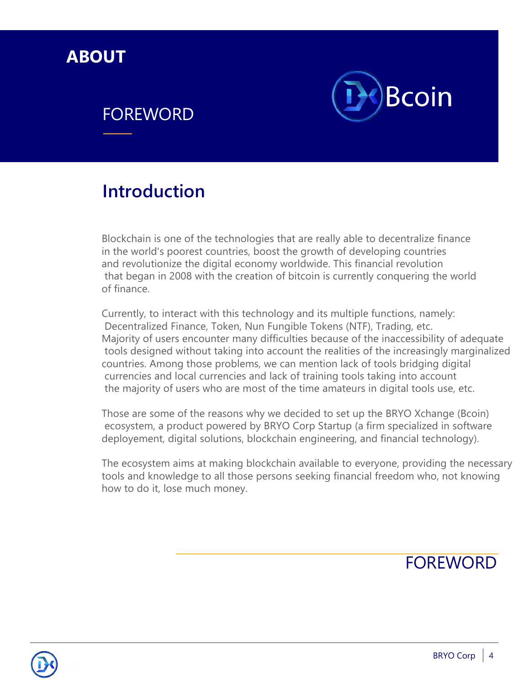

### **FOREWORD**



## **Introduction**

Blockchain is one of the technologies that are really able to decentralize finance in the world's poorest countries, boost the growth of developing countries and revolutionize the digital economy worldwide. This financial revolution that began in 2008 with the creation of bitcoin is currently conquering the world of finance.

Currently, to interact with this technology and its multiple functions, namely: Decentralized Finance, Token, Nun Fungible Tokens (NTF), Trading, etc. Majority of users encounter many difficulties because of the inaccessibility of adequate tools designed without taking into account the realities of the increasingly marginalized countries. Among those problems, we can mention lack of tools bridging digital currencies and local currencies and lack of training tools taking into account the majority of users who are most of the time amateurs in digital tools use, etc.

Those are some of the reasons why we decided to set up the BRYO Xchange (Bcoin) ecosystem, a product powered by BRYO Corp Startup (a firm specialized in software deployement, digital solutions, blockchain engineering, and financial technology).

The ecosystem aims at making blockchain available to everyone, providing the necessary tools and knowledge to all those persons seeking financial freedom who, not knowing how to do it, lose much money.

FOREWORD

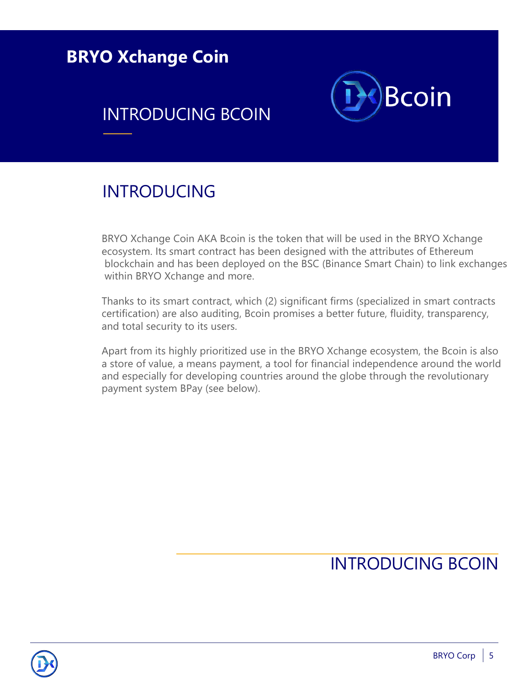**BRYO Xchange Coin**

# INTRODUCING BCOIN



### INTRODUCING

BRYO Xchange Coin AKA Bcoin is the token that will be used in the BRYO Xchange ecosystem. Its smart contract has been designed with the attributes of Ethereum blockchain and has been deployed on the BSC (Binance Smart Chain) to link exchanges within BRYO Xchange and more.

Thanks to its smart contract, which (2) significant firms (specialized in smart contracts certification) are also auditing, Bcoin promises a better future, fluidity, transparency, and total security to its users.

Apart from its highly prioritized use in the BRYO Xchange ecosystem, the Bcoin is also a store of value, a means payment, a tool for financial independence around the world and especially for developing countries around the globe through the revolutionary payment system BPay (see below).

# INTRODUCING BCOIN

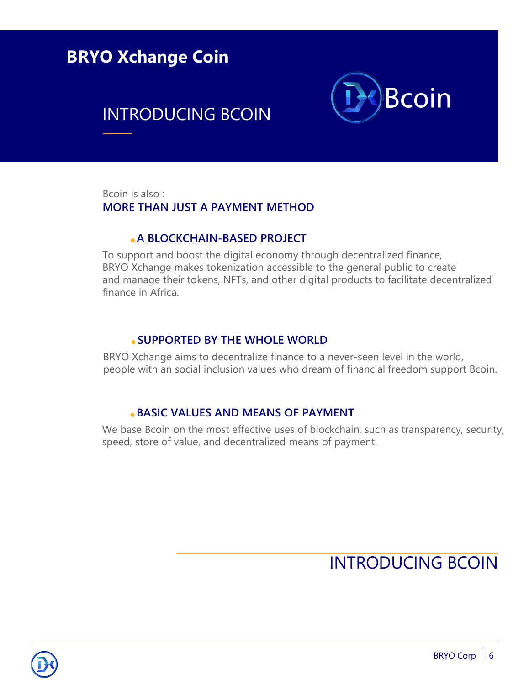### **BRYO Xchange Coin**

### INTRODUCING BCOIN



Bcoin is also : **MORE THAN JUST A PAYMENT METHOD**

#### **A BLOCKCHAIN-BASED PROJECT**

To support and boost the digital economy through decentralized finance, BRYO Xchange makes tokenization accessible to the general public to create and manage their tokens, NFTs, and other digital products to facilitate decentralized finance in Africa.

#### **SUPPORTED BY THE WHOLE WORLD**

BRYO Xchange aims to decentralize finance to a never-seen level in the world, people with an social inclusion values who dream of financial freedom support Bcoin.

#### **BASIC VALUES AND MEANS OF PAYMENT**

We base Bcoin on the most effective uses of blockchain, such as transparency, security, speed, store of value, and decentralized means of payment.

# INTRODUCING BCOIN

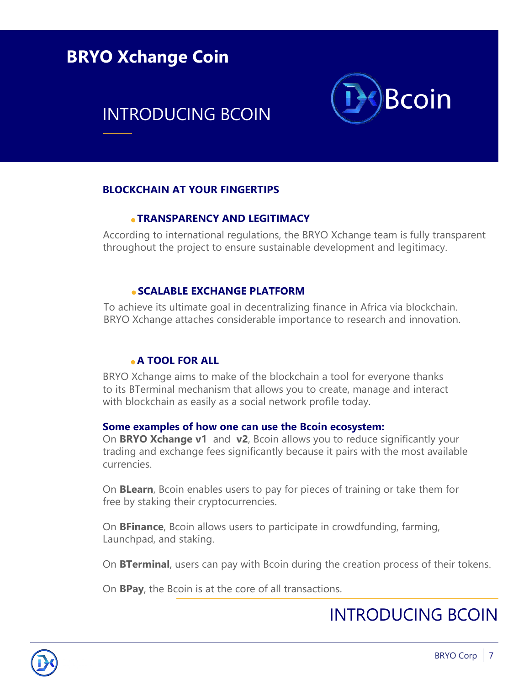### **BRYO Xchange Coin**

# INTRODUCING BCOIN



#### **BLOCKCHAIN AT YOUR FINGERTIPS**

#### **TRANSPARENCY AND LEGITIMACY**

According to international regulations, the BRYO Xchange team is fully transparent throughout the project to ensure sustainable development and legitimacy.

#### **SCALABLE EXCHANGE PLATFORM**

To achieve its ultimate goal in decentralizing finance in Africa via blockchain. BRYO Xchange attaches considerable importance to research and innovation.

#### **A TOOL FOR ALL**

BRYO Xchange aims to make of the blockchain a tool for everyone thanks to its BTerminal mechanism that allows you to create, manage and interact with blockchain as easily as a social network profile today.

#### **Some examples of how one can use the Bcoin ecosystem:**

On **BRYO Xchange v1** and **v2**, Bcoin allows you to reduce significantly your trading and exchange fees significantly because it pairs with the most available currencies.

On **BLearn**, Bcoin enables users to pay for pieces of training or take them for free by staking their cryptocurrencies.

On **BFinance**, Bcoin allows users to participate in crowdfunding, farming, Launchpad, and staking.

On **BTerminal**, users can pay with Bcoin during the creation process of their tokens.

On **BPay**, the Bcoin is at the core of all transactions.

### INTRODUCING BCOIN

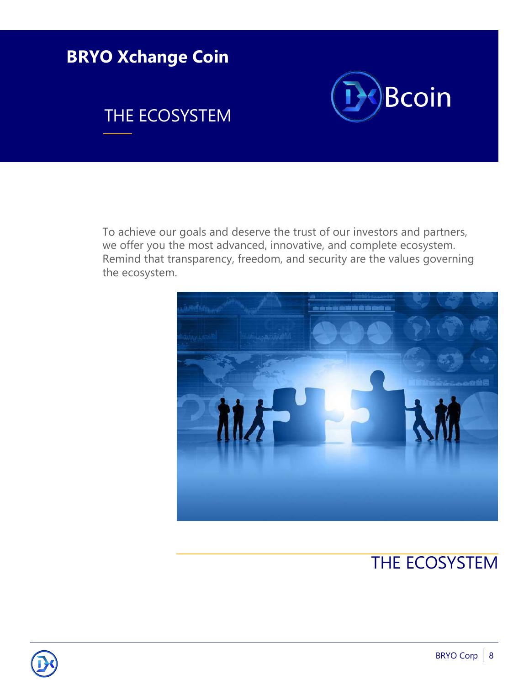

To achieve our goals and deserve the trust of our investors and partners, we offer you the most advanced, innovative, and complete ecosystem. Remind that transparency, freedom, and security are the values governing the ecosystem.



# THE ECOSYSTEM

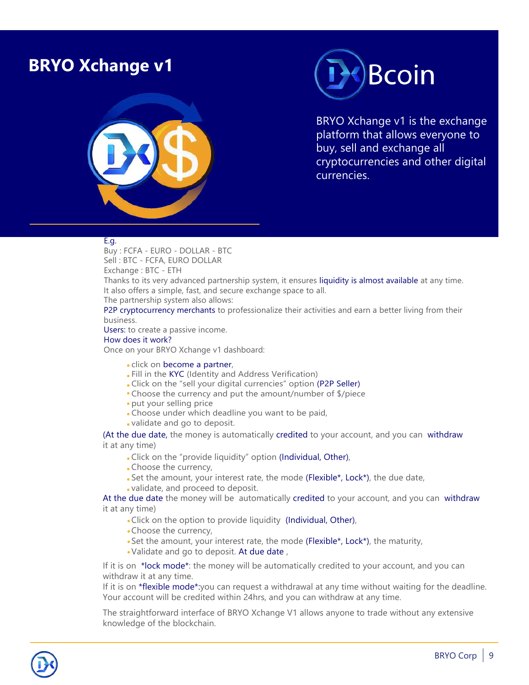### **BRYO Xchange v1**





BRYO Xchange v1 is the exchange platform that allows everyone to buy, sell and exchange all cryptocurrencies and other digital currencies.

#### E.g.

Buy : FCFA - EURO - DOLLAR - BTC Sell : BTC - FCFA, EURO DOLLAR Exchange : BTC - ETH

Thanks to its very advanced partnership system, it ensures liquidity is almost available at any time. It also offers a simple, fast, and secure exchange space to all.

The partnership system also allows:

P2P cryptocurrency merchants to professionalize their activities and earn a better living from their business.

Users: to create a passive income.

How does it work?

Once on your BRYO Xchange v1 dashboard:

- click on become a partner,
- Fill in the KYC (Identity and Address Verification)
- Click on the "sell your digital currencies" option (P2P Seller)
- Choose the currency and put the amount/number of \$/piece
- put your selling price
- Choose under which deadline you want to be paid,
- validate and go to deposit.

(At the due date, the money is automatically credited to your account, and you can withdraw it at any time)

- Click on the "provide liquidity" option (Individual, Other),
- Choose the currency,
- . Set the amount, your interest rate, the mode (Flexible\*, Lock\*), the due date,
- validate, and proceed to deposit.

At the due date the money will be automatically credited to your account, and you can withdraw it at any time)

- Click on the option to provide liquidity (Individual, Other),
- Choose the currency,
- Set the amount, your interest rate, the mode (Flexible\*, Lock\*), the maturity,
- Validate and go to deposit. At due date ,

If it is on \*lock mode\*: the money will be automatically credited to your account, and you can withdraw it at any time.

If it is on \*flexible mode\*:you can request a withdrawal at any time without waiting for the deadline. Your account will be credited within 24hrs, and you can withdraw at any time.

The straightforward interface of BRYO Xchange V1 allows anyone to trade without any extensive knowledge of the blockchain.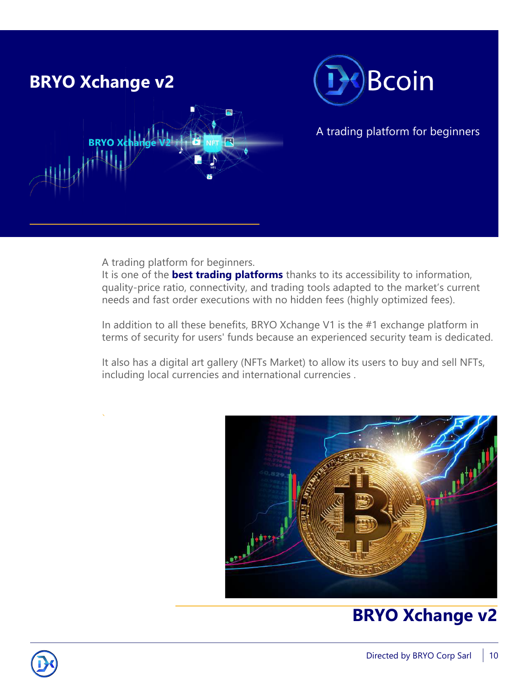

A trading platform for beginners.

It is one of the **best trading platforms** thanks to its accessibility to information, quality-price ratio, connectivity, and trading tools adapted to the market's current needs and fast order executions with no hidden fees (highly optimized fees).

In addition to all these benefits, BRYO Xchange V1 is the #1 exchange platform in terms of security for users' funds because an experienced security team is dedicated.

It also has a digital art gallery (NFTs Market) to allow its users to buy and sell NFTs, including local currencies and international currencies .



# **BRYO Xchange v2**

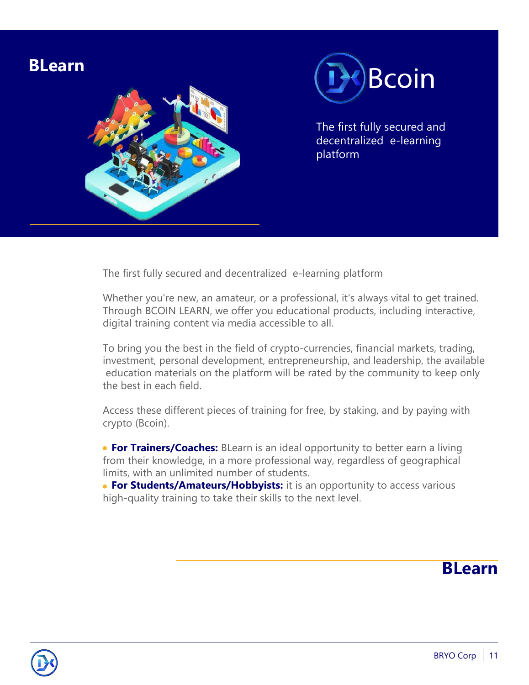

The first fully secured and decentralized e-learning platform

Whether you're new, an amateur, or a professional, it's always vital to get trained. Through BCOIN LEARN, we offer you educational products, including interactive, digital training content via media accessible to all.

To bring you the best in the field of crypto-currencies, financial markets, trading, investment, personal development, entrepreneurship, and leadership, the available education materials on the platform will be rated by the community to keep only the best in each field.

Access these different pieces of training for free, by staking, and by paying with crypto (Bcoin).

**For Trainers/Coaches:** BLearn is an ideal opportunity to better earn a living from their knowledge, in a more professional way, regardless of geographical limits, with an unlimited number of students.

**For Students/Amateurs/Hobbyists:** it is an opportunity to access various high-quality training to take their skills to the next level.

### **BLearn**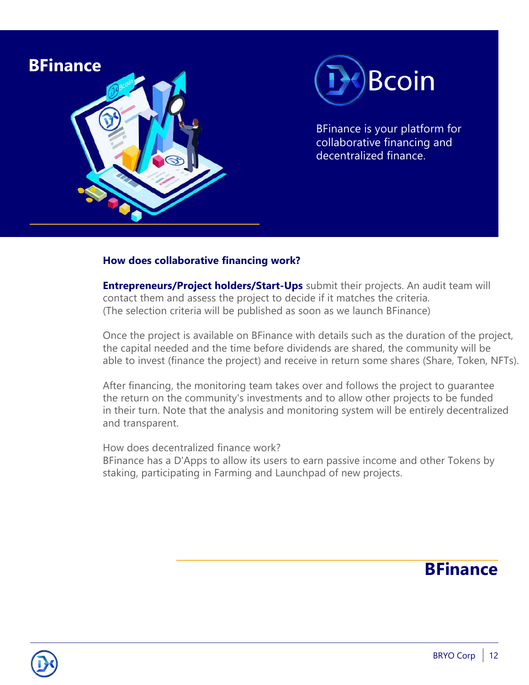

#### **How does collaborative financing work?**

**Entrepreneurs/Project holders/Start-Ups** submit their projects. An audit team will contact them and assess the project to decide if it matches the criteria. (The selection criteria will be published as soon as we launch BFinance)

Once the project is available on BFinance with details such as the duration of the project, the capital needed and the time before dividends are shared, the community will be able to invest (finance the project) and receive in return some shares (Share, Token, NFTs).

After financing, the monitoring team takes over and follows the project to guarantee the return on the community's investments and to allow other projects to be funded in their turn. Note that the analysis and monitoring system will be entirely decentralized and transparent.

How does decentralized finance work?

BFinance has a D'Apps to allow its users to earn passive income and other Tokens by staking, participating in Farming and Launchpad of new projects.

### **BFinance**

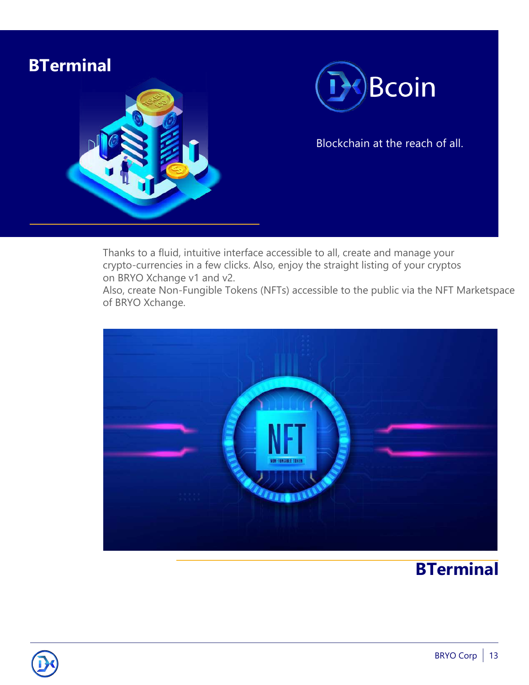

Thanks to a fluid, intuitive interface accessible to all, create and manage your crypto-currencies in a few clicks. Also, enjoy the straight listing of your cryptos on BRYO Xchange v1 and v2.

Also, create Non-Fungible Tokens (NFTs) accessible to the public via the NFT Marketspace of BRYO Xchange.



## **BTerminal**

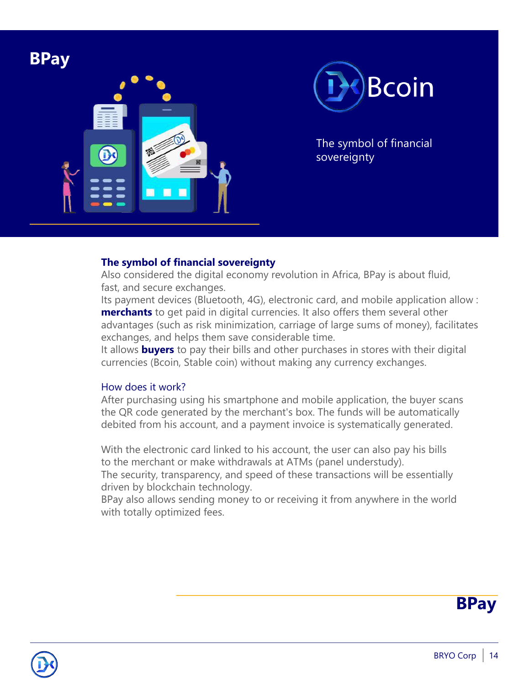



**BPay** The symbol of financial sovereignty

#### **The symbol of financial sovereignty**

Also considered the digital economy revolution in Africa, BPay is about fluid, fast, and secure exchanges.

Its payment devices (Bluetooth, 4G), electronic card, and mobile application allow : **merchants** to get paid in digital currencies. It also offers them several other advantages (such as risk minimization, carriage of large sums of money), facilitates exchanges, and helps them save considerable time.

It allows **buyers** to pay their bills and other purchases in stores with their digital currencies (Bcoin, Stable coin) without making any currency exchanges.

#### How does it work?

After purchasing using his smartphone and mobile application, the buyer scans the QR code generated by the merchant's box. The funds will be automatically debited from his account, and a payment invoice is systematically generated.

With the electronic card linked to his account, the user can also pay his bills to the merchant or make withdrawals at ATMs (panel understudy).

The security, transparency, and speed of these transactions will be essentially driven by blockchain technology.

BPay also allows sending money to or receiving it from anywhere in the world with totally optimized fees.



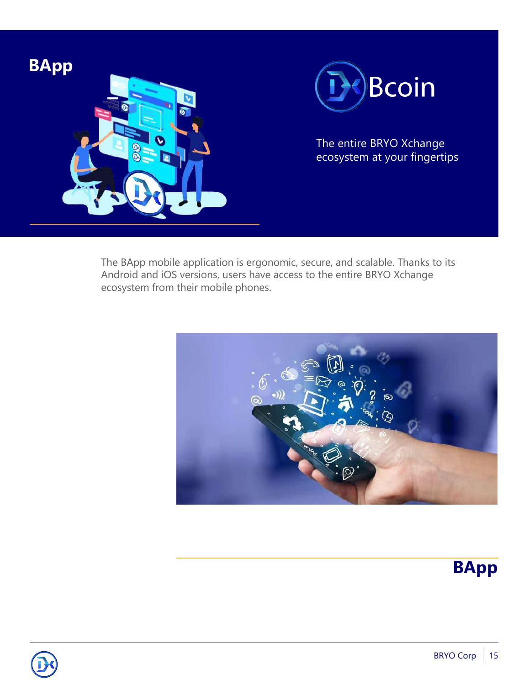

The BApp mobile application is ergonomic, secure, and scalable. Thanks to its Android and iOS versions, users have access to the entire BRYO Xchange ecosystem from their mobile phones.





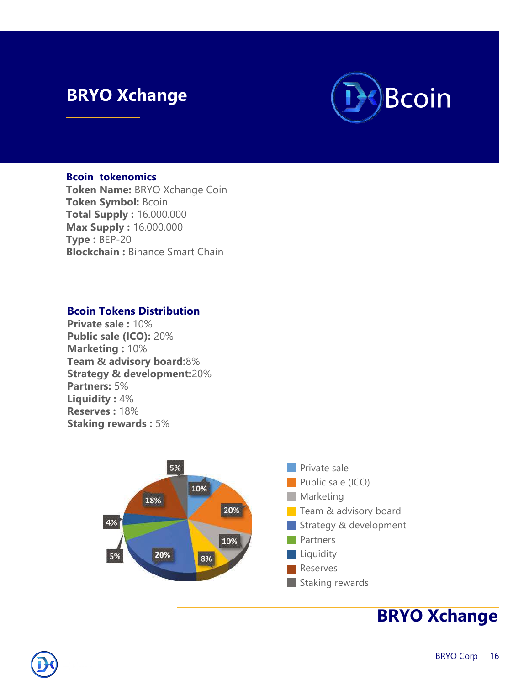### **BRYO Xchange**



#### **Bcoin tokenomics**

**Token Name:** BRYO Xchange Coin **Token Symbol:** Bcoin **Total Supply :** 16.000.000 **Max Supply :** 16.000.000 **Type :** BEP-20 **Blockchain :** Binance Smart Chain

#### **Bcoin Tokens Distribution**

**Private sale :** 10% **Public sale (ICO):** 20% **Marketing :** 10% **Team & advisory board:**8% **Strategy & development:**20% **Partners:** 5% **Liquidity :** 4% **Reserves :** 18% **Staking rewards :** 5%



### **BRYO Xchange**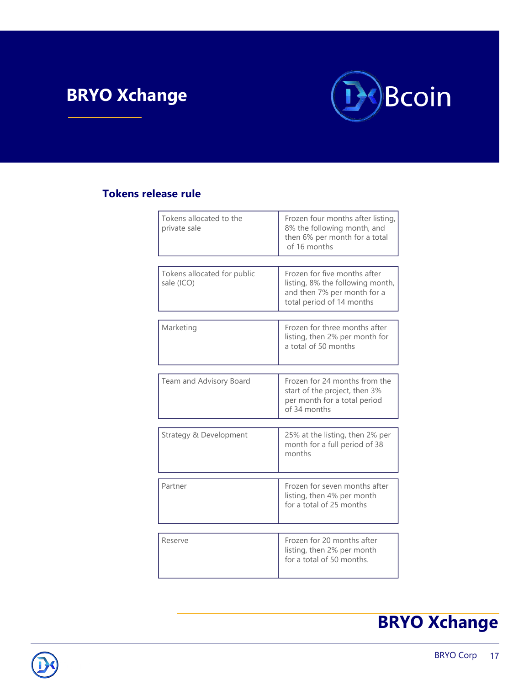# **BRYO Xchange**



#### **Tokens release rule**

| Frozen four months after listing,<br>8% the following month, and<br>then 6% per month for a total<br>of 16 months            |  |
|------------------------------------------------------------------------------------------------------------------------------|--|
|                                                                                                                              |  |
| Frozen for five months after<br>listing, 8% the following month,<br>and then 7% per month for a<br>total period of 14 months |  |
| Marketing                                                                                                                    |  |
| Frozen for three months after<br>listing, then 2% per month for<br>a total of 50 months                                      |  |
| Team and Advisory Board                                                                                                      |  |
| Frozen for 24 months from the<br>start of the project, then 3%<br>per month for a total period<br>of 34 months               |  |
|                                                                                                                              |  |
| 25% at the listing, then 2% per<br>month for a full period of 38<br>months                                                   |  |
| Partner                                                                                                                      |  |
| Frozen for seven months after<br>listing, then 4% per month<br>for a total of 25 months                                      |  |
|                                                                                                                              |  |
| Frozen for 20 months after<br>listing, then 2% per month<br>for a total of 50 months.                                        |  |
|                                                                                                                              |  |